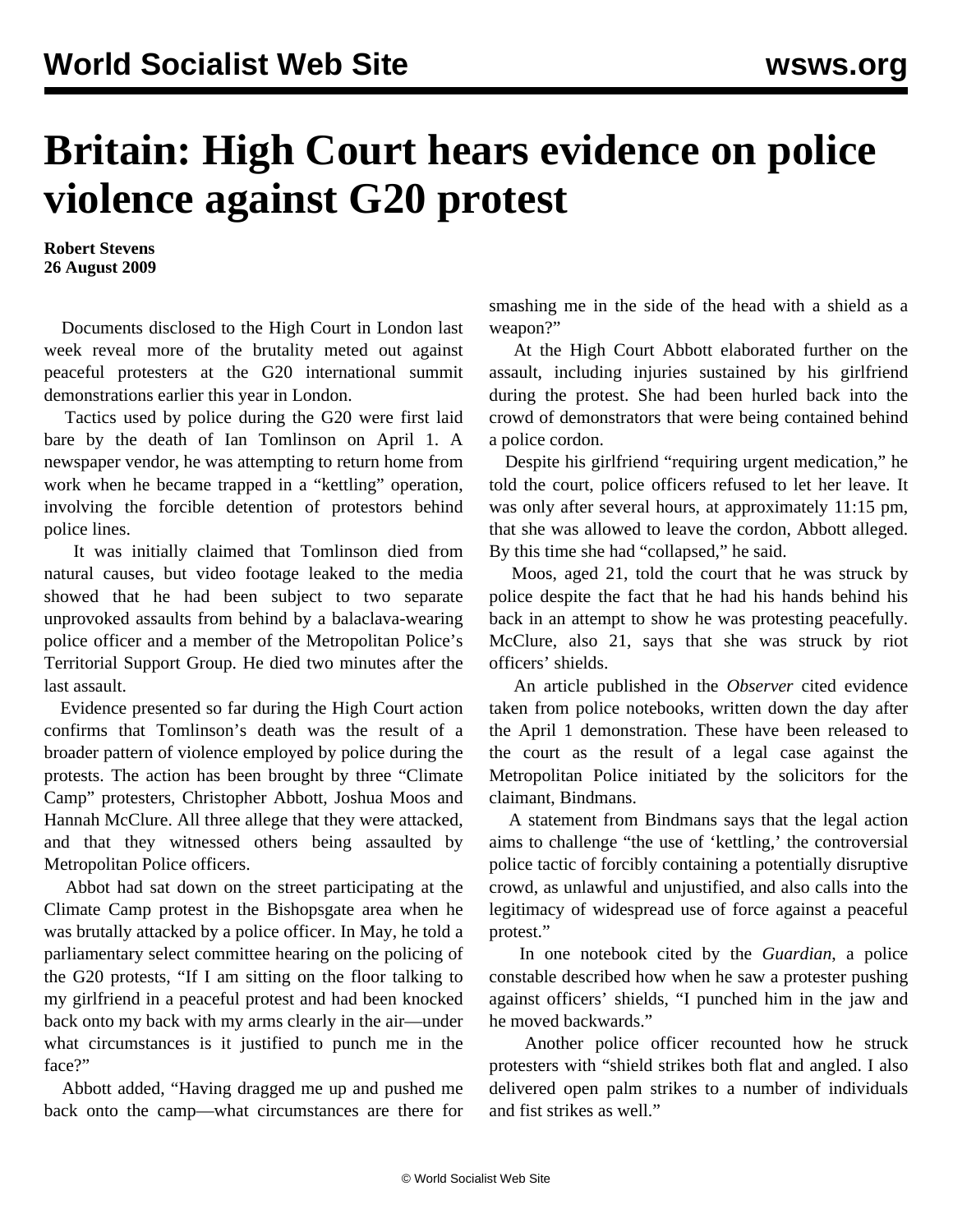## **Britain: High Court hears evidence on police violence against G20 protest**

**Robert Stevens 26 August 2009**

 Documents disclosed to the High Court in London last week reveal more of the brutality meted out against peaceful protesters at the G20 international summit demonstrations earlier this year in London.

 Tactics used by police during the G20 were first laid bare by the death of Ian Tomlinson on April 1. A newspaper vendor, he was attempting to return home from work when he became trapped in a "kettling" operation, involving the forcible detention of protestors behind police lines.

 It was initially claimed that Tomlinson died from natural causes, but video footage leaked to the media showed that he had been subject to two separate unprovoked assaults from behind by a balaclava-wearing police officer and a member of the Metropolitan Police's Territorial Support Group. He died two minutes after the last assault.

 Evidence presented so far during the High Court action confirms that Tomlinson's death was the result of a broader pattern of violence employed by police during the protests. The action has been brought by three "Climate Camp" protesters, Christopher Abbott, Joshua Moos and Hannah McClure. All three allege that they were attacked, and that they witnessed others being assaulted by Metropolitan Police officers.

 Abbot had sat down on the street participating at the Climate Camp protest in the Bishopsgate area when he was brutally attacked by a police officer. In May, he told a parliamentary select committee hearing on the policing of the G20 protests, "If I am sitting on the floor talking to my girlfriend in a peaceful protest and had been knocked back onto my back with my arms clearly in the air—under what circumstances is it justified to punch me in the face?"

 Abbott added, "Having dragged me up and pushed me back onto the camp—what circumstances are there for smashing me in the side of the head with a shield as a weapon?"

 At the High Court Abbott elaborated further on the assault, including injuries sustained by his girlfriend during the protest. She had been hurled back into the crowd of demonstrators that were being contained behind a police cordon.

 Despite his girlfriend "requiring urgent medication," he told the court, police officers refused to let her leave. It was only after several hours, at approximately 11:15 pm, that she was allowed to leave the cordon, Abbott alleged. By this time she had "collapsed," he said.

 Moos, aged 21, told the court that he was struck by police despite the fact that he had his hands behind his back in an attempt to show he was protesting peacefully. McClure, also 21, says that she was struck by riot officers' shields.

 An article published in the *Observer* cited evidence taken from police notebooks, written down the day after the April 1 demonstration. These have been released to the court as the result of a legal case against the Metropolitan Police initiated by the solicitors for the claimant, Bindmans.

 A statement from Bindmans says that the legal action aims to challenge "the use of 'kettling,' the controversial police tactic of forcibly containing a potentially disruptive crowd, as unlawful and unjustified, and also calls into the legitimacy of widespread use of force against a peaceful protest."

 In one notebook cited by the *Guardian*, a police constable described how when he saw a protester pushing against officers' shields, "I punched him in the jaw and he moved backwards."

 Another police officer recounted how he struck protesters with "shield strikes both flat and angled. I also delivered open palm strikes to a number of individuals and fist strikes as well."